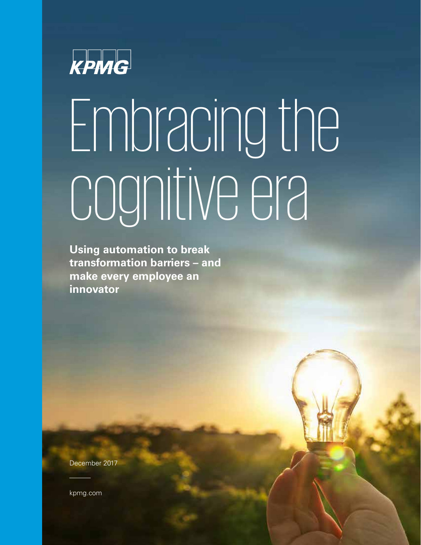

# Embracing the cognitive era

**Using automation to break transformation barriers – and make every employee an innovator**

December 2017

kpmg.com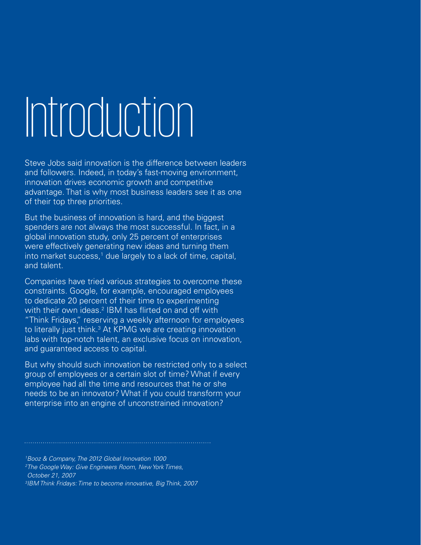## Introduction

Steve Jobs said innovation is the difference between leaders and followers. Indeed, in today's fast-moving environment, innovation drives economic growth and competitive advantage. That is why most business leaders see it as one of their top three priorities.

But the business of innovation is hard, and the biggest spenders are not always the most successful. In fact, in a global innovation study, only 25 percent of enterprises were effectively generating new ideas and turning them into market success,<sup>1</sup> due largely to a lack of time, capital, and talent.

Companies have tried various strategies to overcome these constraints. Google, for example, encouraged employees to dedicate 20 percent of their time to experimenting with their own ideas.<sup>2</sup> IBM has flirted on and off with "Think Fridays," reserving a weekly afternoon for employees to literally just think.<sup>3</sup> At KPMG we are creating innovation labs with top-notch talent, an exclusive focus on innovation, and guaranteed access to capital.

But why should such innovation be restricted only to a select group of employees or a certain slot of time? What if every employee had all the time and resources that he or she needs to be an innovator? What if you could transform your enterprise into an engine of unconstrained innovation?

1 Booz & Company, The 2012 Global Innovation 1000

2 The Google Way: Give Engineers Room, New York Times, October 21, 2007

3 IBM Think Fridays: Time to become innovative, Big Think, 2007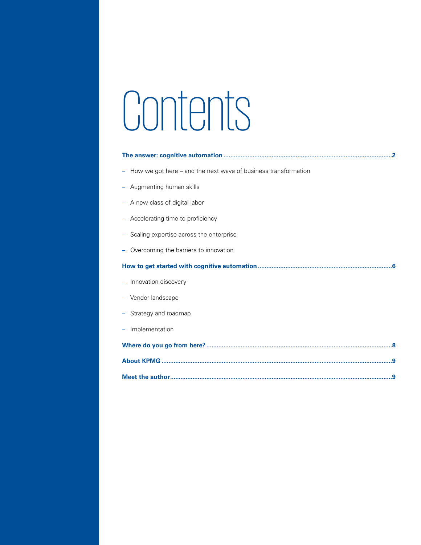## Contents

| How we got here – and the next wave of business transformation |
|----------------------------------------------------------------|
| Augmenting human skills                                        |
| - A new class of digital labor                                 |
| Accelerating time to proficiency                               |
| Scaling expertise across the enterprise                        |
| Overcoming the barriers to innovation                          |
|                                                                |
| Innovation discovery                                           |
| Vendor landscape                                               |
| Strategy and roadmap                                           |
| Implementation                                                 |
|                                                                |
|                                                                |
|                                                                |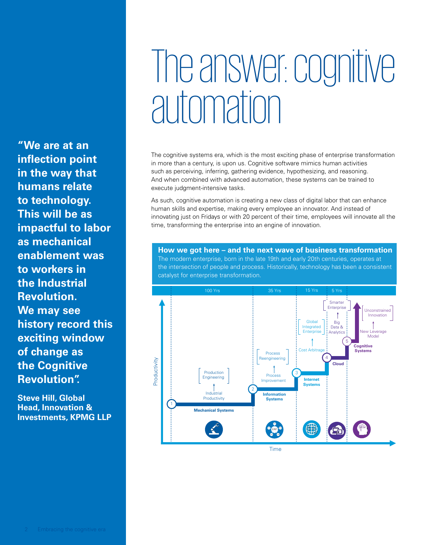### The answer: cognitive automation

The cognitive systems era, which is the most exciting phase of enterprise transformation in more than a century, is upon us. Cognitive software mimics human activities such as perceiving, inferring, gathering evidence, hypothesizing, and reasoning. And when combined with advanced automation, these systems can be trained to execute judgment-intensive tasks.

As such, cognitive automation is creating a new class of digital labor that can enhance human skills and expertise, making every employee an innovator. And instead of innovating just on Fridays or with 20 percent of their time, employees will innovate all the time, transforming the enterprise into an engine of innovation.

**How we got here – and the next wave of business transformation** The modern enterprise, born in the late 19th and early 20th centuries, operates at the intersection of people and process. Historically, technology has been a consistent catalyst for enterprise transformation.



**"We are at an inflection point in the way that humans relate to technology. This will be as impactful to labor as mechanical enablement was to workers in the Industrial Revolution. We may see history record this exciting window of change as the Cognitive Revolution".**

**Steve Hill, Global Head, Innovation & Investments, KPMG LLP**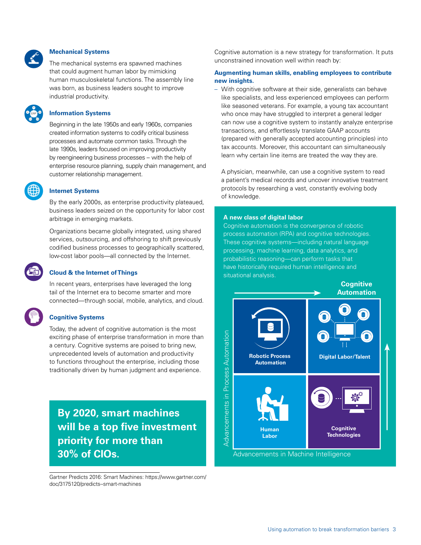

 $\mathbf{E}_{\text{ERP}}$ SCM CRM

### **Mechanical Systems**

The mechanical systems era spawned machines that could augment human labor by mimicking human musculoskeletal functions. The assembly line was born, as business leaders sought to improve industrial productivity.

### **Information Systems**

Beginning in the late 1950s and early 1960s, companies created information systems to codify critical business processes and automate common tasks. Through the late 1990s, leaders focused on improving productivity by reengineering business processes – with the help of enterprise resource planning, supply chain management, and customer relationship management.

### **Internet Systems**

By the early 2000s, as enterprise productivity plateaued, business leaders seized on the opportunity for labor cost arbitrage in emerging markets.

Organizations became globally integrated, using shared services, outsourcing, and offshoring to shift previously codified business processes to geographically scattered, low-cost labor pools—all connected by the Internet.

### **Cloud & the Internet of Things**

In recent years, enterprises have leveraged the long tail of the Internet era to become smarter and more connected—through social, mobile, analytics, and cloud.

### **Cognitive Systems**

Today, the advent of cognitive automation is the most exciting phase of enterprise transformation in more than a century. Cognitive systems are poised to bring new, unprecedented levels of automation and productivity to functions throughout the enterprise, including those traditionally driven by human judgment and experience.

### **By 2020, smart machines will be a top five investment priority for more than 30% of CIOs.**

Gartner Predicts 2016: Smart Machines: [https://www.gartner.com/](https://www.gartner.com/doc/3175120/predicts--smart-machines) [doc/3175120/predicts--smart-machines](https://www.gartner.com/doc/3175120/predicts--smart-machines)

Cognitive automation is a new strategy for transformation. It puts unconstrained innovation well within reach by:

### **Augmenting human skills, enabling employees to contribute new insights.**

– With cognitive software at their side, generalists can behave like specialists, and less experienced employees can perform like seasoned veterans. For example, a young tax accountant who once may have struggled to interpret a general ledger can now use a cognitive system to instantly analyze enterprise transactions, and effortlessly translate GAAP accounts (prepared with generally accepted accounting principles) into tax accounts. Moreover, this accountant can simultaneously learn why certain line items are treated the way they are.

A physician, meanwhile, can use a cognitive system to read a patient's medical records and uncover innovative treatment protocols by researching a vast, constantly evolving body of knowledge.

### **A new class of digital labor**

Cognitive automation is the convergence of robotic process automation (RPA) and cognitive technologies. These cognitive systems—including natural language processing, machine learning, data analytics, and probabilistic reasoning—can perform tasks that have historically required human intelligence and situational analysis.

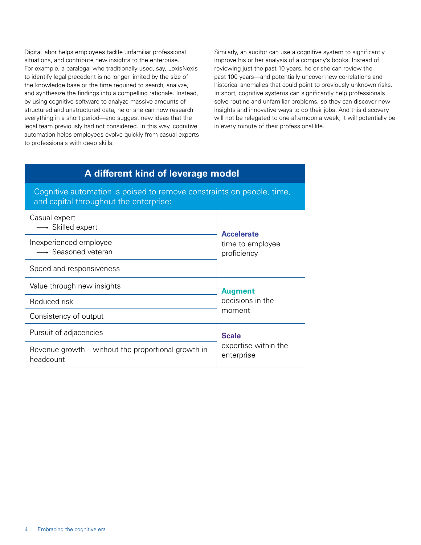Digital labor helps employees tackle unfamiliar professional situations, and contribute new insights to the enterprise. For example, a paralegal who traditionally used, say, LexisNexis to identify legal precedent is no longer limited by the size of the knowledge base or the time required to search, analyze, and synthesize the findings into a compelling rationale. Instead, by using cognitive software to analyze massive amounts of structured and unstructured data, he or she can now research everything in a short period—and suggest new ideas that the legal team previously had not considered. In this way, cognitive automation helps employees evolve quickly from casual experts to professionals with deep skills.

Similarly, an auditor can use a cognitive system to significantly improve his or her analysis of a company's books. Instead of reviewing just the past 10 years, he or she can review the past 100 years—and potentially uncover new correlations and historical anomalies that could point to previously unknown risks. In short, cognitive systems can significantly help professionals solve routine and unfamiliar problems, so they can discover new insights and innovative ways to do their jobs. And this discovery will not be relegated to one afternoon a week; it will potentially be in every minute of their professional life.

### **A different kind of leverage model**

Cognitive automation is poised to remove constraints on people, time, and capital throughout the enterprise:

| Casual expert<br>$\longrightarrow$ Skilled expert                | <b>Accelerate</b><br>time to employee<br>proficiency |  |
|------------------------------------------------------------------|------------------------------------------------------|--|
| Inexperienced employee<br>→ Seasoned veteran                     |                                                      |  |
| Speed and responsiveness                                         |                                                      |  |
| Value through new insights                                       | <b>Augment</b><br>decisions in the<br>moment         |  |
| Reduced risk                                                     |                                                      |  |
| Consistency of output                                            |                                                      |  |
| Pursuit of adjacencies                                           | <b>Scale</b>                                         |  |
| Revenue growth – without the proportional growth in<br>headcount | expertise within the<br>enterprise                   |  |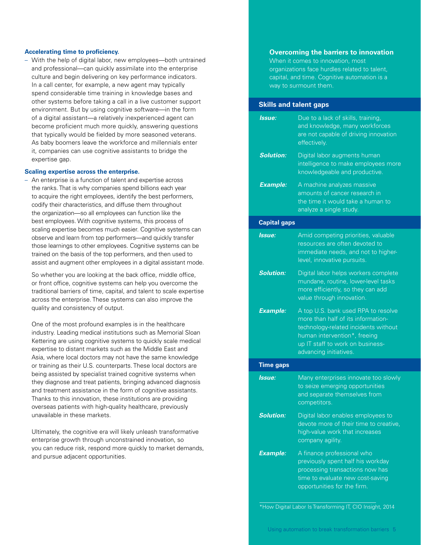### **Accelerating time to proficiency.**

– With the help of digital labor, new employees—both untrained and professional—can quickly assimilate into the enterprise culture and begin delivering on key performance indicators. In a call center, for example, a new agent may typically spend considerable time training in knowledge bases and other systems before taking a call in a live customer support environment. But by using cognitive software—in the form of a digital assistant—a relatively inexperienced agent can become proficient much more quickly, answering questions that typically would be fielded by more seasoned veterans. As baby boomers leave the workforce and millennials enter it, companies can use cognitive assistants to bridge the expertise gap.

### **Scaling expertise across the enterprise.**

– An enterprise is a function of talent and expertise across the ranks. That is why companies spend billions each year to acquire the right employees, identify the best performers, codify their characteristics, and diffuse them throughout the organization—so all employees can function like the best employees. With cognitive systems, this process of scaling expertise becomes much easier. Cognitive systems can observe and learn from top performers—and quickly transfer those learnings to other employees. Cognitive systems can be trained on the basis of the top performers, and then used to assist and augment other employees in a digital assistant mode.

So whether you are looking at the back office, middle office, or front office, cognitive systems can help you overcome the traditional barriers of time, capital, and talent to scale expertise across the enterprise. These systems can also improve the quality and consistency of output.

One of the most profound examples is in the healthcare industry. Leading medical institutions such as Memorial Sloan Kettering are using cognitive systems to quickly scale medical expertise to distant markets such as the Middle East and Asia, where local doctors may not have the same knowledge or training as their U.S. counterparts. These local doctors are being assisted by specialist trained cognitive systems when they diagnose and treat patients, bringing advanced diagnosis and treatment assistance in the form of cognitive assistants. Thanks to this innovation, these institutions are providing overseas patients with high-quality healthcare, previously unavailable in these markets.

Ultimately, the cognitive era will likely unleash transformative enterprise growth through unconstrained innovation, so you can reduce risk, respond more quickly to market demands, and pursue adjacent opportunities.

### **Overcoming the barriers to innovation**

When it comes to innovation, most organizations face hurdles related to talent, capital, and time. Cognitive automation is a way to surmount them.

### **Skills and talent gaps**

| Issue:              | Due to a lack of skills, training,<br>and knowledge, many workforces<br>are not capable of driving innovation<br>effectively.                                                                                   |
|---------------------|-----------------------------------------------------------------------------------------------------------------------------------------------------------------------------------------------------------------|
| <b>Solution:</b>    | Digital labor augments human<br>intelligence to make employees more<br>knowledgeable and productive.                                                                                                            |
| <b>Example:</b>     | A machine analyzes massive<br>amounts of cancer research in<br>the time it would take a human to<br>analyze a single study.                                                                                     |
| <b>Capital gaps</b> |                                                                                                                                                                                                                 |
| Issue:              | Amid competing priorities, valuable<br>resources are often devoted to<br>immediate needs, and not to higher-<br>level, innovative pursuits.                                                                     |
| Solution:           | Digital labor helps workers complete<br>mundane, routine, lower-level_tasks<br>more efficiently, so they can add<br>value through innovation.                                                                   |
| <b>Example:</b>     | A top U.S. bank used RPA to resolve<br>more than half of its information-<br>technology-related incidents without<br>human intervention*, freeing<br>up IT staff to work on business-<br>advancing initiatives. |
| <b>Time gaps</b>    |                                                                                                                                                                                                                 |
| Issue:              | Many enterprises innovate too slowly<br>to seize emerging opportunities<br>and separate themselves from<br>competitors.                                                                                         |
| Solution:           | Digital labor enables employees to<br>devote more of their time to creative,<br>high-value work that increases<br>company agility.                                                                              |
| <b>Example:</b>     | A finance professional who<br>previously spent half his workday<br>processing transactions now has<br>time to evaluate new cost-saving<br>opportunities for the firm.                                           |

\*How Digital Labor Is Transforming IT, CIO Insight, 2014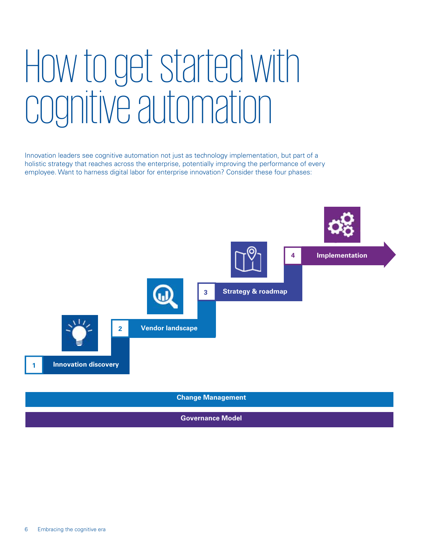### How to get started with cognitive automation

Innovation leaders see cognitive automation not just as technology implementation, but part of a holistic strategy that reaches across the enterprise, potentially improving the performance of every employee. Want to harness digital labor for enterprise innovation? Consider these four phases:



**Governance Model**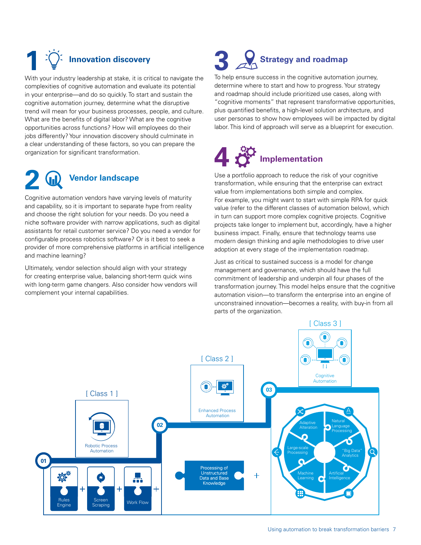### **Innovation discovery**

With your industry leadership at stake, it is critical to navigate the complexities of cognitive automation and evaluate its potential in your enterprise—and do so quickly. To start and sustain the cognitive automation journey, determine what the disruptive trend will mean for your business processes, people, and culture. What are the benefits of digital labor? What are the cognitive opportunities across functions? How will employees do their jobs differently? Your innovation discovery should culminate in a clear understanding of these factors, so you can prepare the organization for significant transformation.

### **2 Vendor landscape**

Cognitive automation vendors have varying levels of maturity and capability, so it is important to separate hype from reality and choose the right solution for your needs. Do you need a niche software provider with narrow applications, such as digital assistants for retail customer service? Do you need a vendor for configurable process robotics software? Or is it best to seek a provider of more comprehensive platforms in artificial intelligence and machine learning?

Ultimately, vendor selection should align with your strategy for creating enterprise value, balancing short-term quick wins with long-term game changers. Also consider how vendors will complement your internal capabilities.

### **Strategy and roadmap**

To help ensure success in the cognitive automation journey, determine where to start and how to progress. Your strategy and roadmap should include prioritized use cases, along with "cognitive moments" that represent transformative opportunities, plus quantified benefits, a high-level solution architecture, and user personas to show how employees will be impacted by digital labor. This kind of approach will serve as a blueprint for execution.

### **4 Implementation**

Use a portfolio approach to reduce the risk of your cognitive transformation, while ensuring that the enterprise can extract value from implementations both simple and complex. For example, you might want to start with simple RPA for quick value (refer to the different classes of automation below), which in turn can support more complex cognitive projects. Cognitive projects take longer to implement but, accordingly, have a higher business impact. Finally, ensure that technology teams use modern design thinking and agile methodologies to drive user adoption at every stage of the implementation roadmap.

Just as critical to sustained success is a model for change management and governance, which should have the full commitment of leadership and underpin all four phases of the transformation journey. This model helps ensure that the cognitive automation vision—to transform the enterprise into an engine of unconstrained innovation—becomes a reality, with buy-in from all parts of the organization.

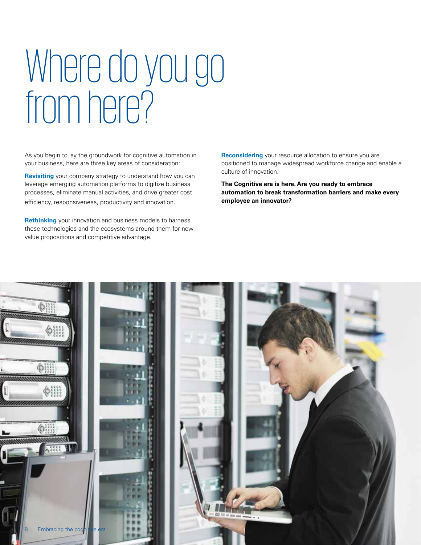### Where do you go from here?

As you begin to lay the groundwork for cognitive automation in your business, here are three key areas of consideration:

**Revisiting** your company strategy to understand how you can leverage emerging automation platforms to digitize business processes, eliminate manual activities, and drive greater cost efficiency, responsiveness, productivity and innovation.

**Rethinking** your innovation and business models to harness these technologies and the ecosystems around them for new value propositions and competitive advantage.

**Reconsidering** your resource allocation to ensure you are positioned to manage widespread workforce change and enable a culture of innovation.

**The Cognitive era is here. Are you ready to embrace automation to break transformation barriers and make every employee an innovator?**

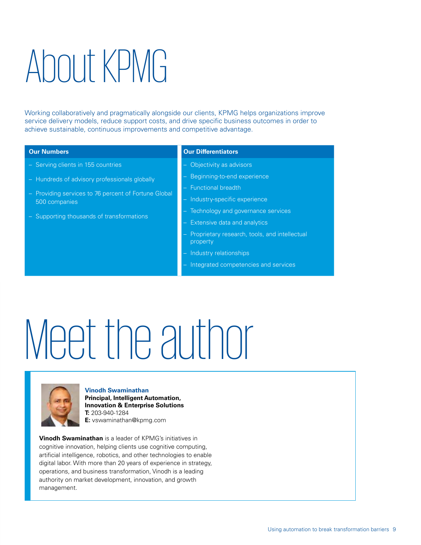### About KPMG

Working collaboratively and pragmatically alongside our clients, KPMG helps organizations improve service delivery models, reduce support costs, and drive specific business outcomes in order to achieve sustainable, continuous improvements and competitive advantage.

- Serving clients in 155 countries
- Hundreds of advisory professionals globally
- Providing services to 76 percent of Fortune Global 500 companies
- Supporting thousands of transformations

### **Our Numbers Our Differentiators**

- Objectivity as advisors
- Beginning-to-end experience
- Functional breadth
- Industry-specific experience
- Technology and governance services
- Extensive data and analytics
- Proprietary research, tools, and intellectual property
- Industry relationships
- Integrated competencies and services

## Meet the author



**Vinodh Swaminathan Principal, Intelligent Automation, Innovation & Enterprise Solutions T:** 203-940-1284 **E:** vswaminathan@kpmg.com

**Vinodh Swaminathan** is a leader of KPMG's initiatives in cognitive innovation, helping clients use cognitive computing, artificial intelligence, robotics, and other technologies to enable digital labor. With more than 20 years of experience in strategy, operations, and business transformation, Vinodh is a leading authority on market development, innovation, and growth management.